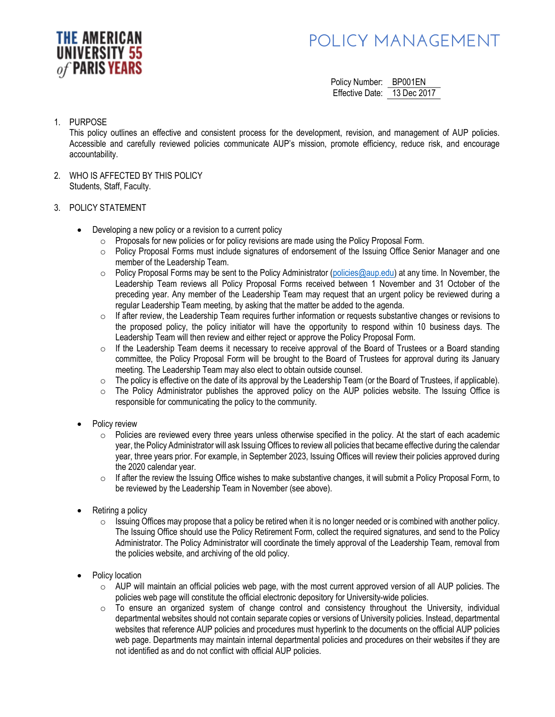

# POLICY MANAGEMENT

Policy Number: BP001EN Effective Date: 13 Dec 2017

### 1. PURPOSE

This policy outlines an effective and consistent process for the development, revision, and management of AUP policies. Accessible and carefully reviewed policies communicate AUP's mission, promote efficiency, reduce risk, and encourage accountability.

2. WHO IS AFFECTED BY THIS POLICY Students, Staff, Faculty.

#### 3. POLICY STATEMENT

- Developing a new policy or a revision to a current policy
	- $\circ$  Proposals for new policies or for policy revisions are made using the Policy Proposal Form.
	- $\circ$  Policy Proposal Forms must include signatures of endorsement of the Issuing Office Senior Manager and one member of the Leadership Team.
	- $\circ$  Policy Proposal Forms may be sent to the Policy Administrator (policies@aup.edu) at any time. In November, the Leadership Team reviews all Policy Proposal Forms received between 1 November and 31 October of the preceding year. Any member of the Leadership Team may request that an urgent policy be reviewed during a regular Leadership Team meeting, by asking that the matter be added to the agenda.
	- $\circ$  If after review, the Leadership Team requires further information or requests substantive changes or revisions to the proposed policy, the policy initiator will have the opportunity to respond within 10 business days. The Leadership Team will then review and either reject or approve the Policy Proposal Form.
	- $\circ$  If the Leadership Team deems it necessary to receive approval of the Board of Trustees or a Board standing committee, the Policy Proposal Form will be brought to the Board of Trustees for approval during its January meeting. The Leadership Team may also elect to obtain outside counsel.
	- $\circ$  The policy is effective on the date of its approval by the Leadership Team (or the Board of Trustees, if applicable).
	- o The Policy Administrator publishes the approved policy on the AUP policies website. The Issuing Office is responsible for communicating the policy to the community.
- Policy review
	- $\circ$  Policies are reviewed every three years unless otherwise specified in the policy. At the start of each academic year, the Policy Administrator will ask Issuing Offices to review all policies that became effective during the calendar year, three years prior. For example, in September 2023, Issuing Offices will review their policies approved during the 2020 calendar year.
	- $\circ$  If after the review the Issuing Office wishes to make substantive changes, it will submit a Policy Proposal Form, to be reviewed by the Leadership Team in November (see above).
- Retiring a policy
	- $\circ$  Issuing Offices may propose that a policy be retired when it is no longer needed or is combined with another policy. The Issuing Office should use the Policy Retirement Form, collect the required signatures, and send to the Policy Administrator. The Policy Administrator will coordinate the timely approval of the Leadership Team, removal from the policies website, and archiving of the old policy.
- Policy location
	- $\circ$  AUP will maintain an official policies web page, with the most current approved version of all AUP policies. The policies web page will constitute the official electronic depository for University-wide policies.
	- $\circ$  To ensure an organized system of change control and consistency throughout the University, individual departmental websites should not contain separate copies or versions of University policies. Instead, departmental websites that reference AUP policies and procedures must hyperlink to the documents on the official AUP policies web page. Departments may maintain internal departmental policies and procedures on their websites if they are not identified as and do not conflict with official AUP policies.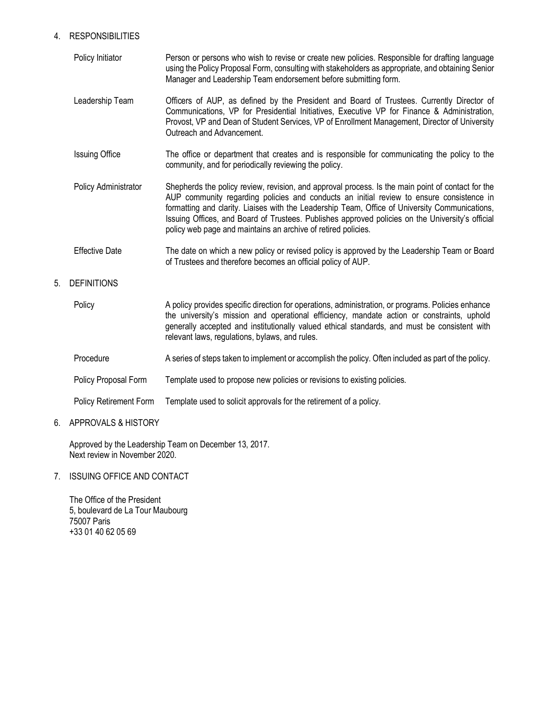#### 4. RESPONSIBILITIES

| Policy Initiator | Person or persons who wish to revise or create new policies. Responsible for drafting language    |
|------------------|---------------------------------------------------------------------------------------------------|
|                  | using the Policy Proposal Form, consulting with stakeholders as appropriate, and obtaining Senior |
|                  | Manager and Leadership Team endorsement before submitting form.                                   |

- Leadership Team Officers of AUP, as defined by the President and Board of Trustees. Currently Director of Communications, VP for Presidential Initiatives, Executive VP for Finance & Administration, Provost, VP and Dean of Student Services, VP of Enrollment Management, Director of University Outreach and Advancement.
- Issuing Office The office or department that creates and is responsible for communicating the policy to the community, and for periodically reviewing the policy.
- Policy Administrator Shepherds the policy review, revision, and approval process. Is the main point of contact for the AUP community regarding policies and conducts an initial review to ensure consistence in formatting and clarity. Liaises with the Leadership Team, Office of University Communications, Issuing Offices, and Board of Trustees. Publishes approved policies on the University's official policy web page and maintains an archive of retired policies.
- Effective Date The date on which a new policy or revised policy is approved by the Leadership Team or Board of Trustees and therefore becomes an official policy of AUP.

#### 5. DEFINITIONS

| Policy                        | A policy provides specific direction for operations, administration, or programs. Policies enhance<br>the university's mission and operational efficiency, mandate action or constraints, uphold<br>generally accepted and institutionally valued ethical standards, and must be consistent with<br>relevant laws, regulations, bylaws, and rules. |
|-------------------------------|----------------------------------------------------------------------------------------------------------------------------------------------------------------------------------------------------------------------------------------------------------------------------------------------------------------------------------------------------|
| Procedure                     | A series of steps taken to implement or accomplish the policy. Often included as part of the policy.                                                                                                                                                                                                                                               |
| Policy Proposal Form          | Template used to propose new policies or revisions to existing policies.                                                                                                                                                                                                                                                                           |
| <b>Policy Retirement Form</b> | Template used to solicit approvals for the retirement of a policy.                                                                                                                                                                                                                                                                                 |

6. APPROVALS & HISTORY

Approved by the Leadership Team on December 13, 2017. Next review in November 2020.

7. ISSUING OFFICE AND CONTACT

The Office of the President 5, boulevard de La Tour Maubourg 75007 Paris +33 01 40 62 05 69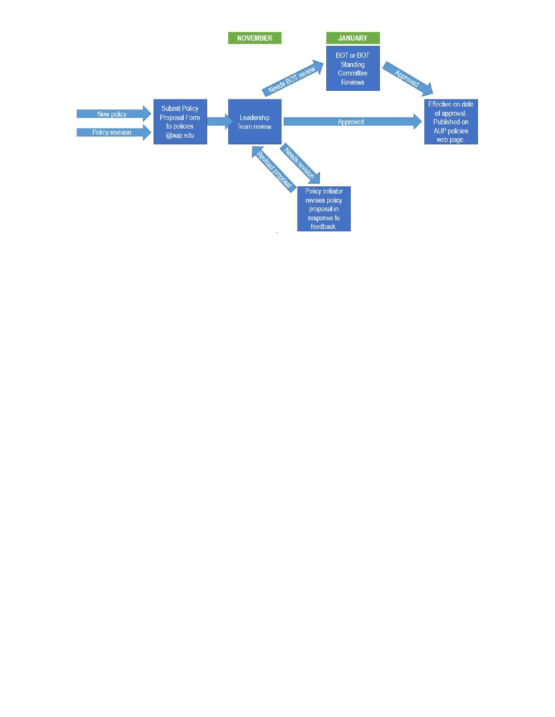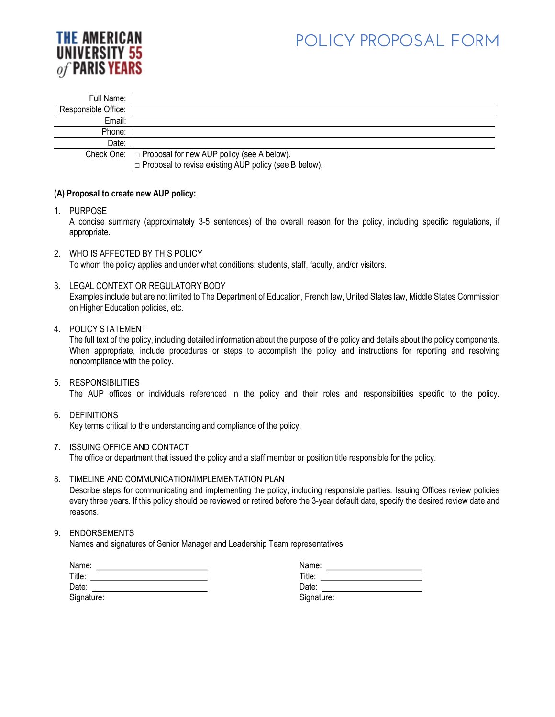# POLICY PROPOSAL FORM



| Full Name:          |                                                                    |
|---------------------|--------------------------------------------------------------------|
| Responsible Office: |                                                                    |
| Email:              |                                                                    |
| Phone:              |                                                                    |
| Date:               |                                                                    |
|                     | Check One: $\vert \Box$ Proposal for new AUP policy (see A below). |
|                     | □ Proposal to revise existing AUP policy (see B below).            |

#### (A) Proposal to create new AUP policy:

1. PURPOSE

A concise summary (approximately 3-5 sentences) of the overall reason for the policy, including specific regulations, if appropriate.

2. WHO IS AFFECTED BY THIS POLICY To whom the policy applies and under what conditions: students, staff, faculty, and/or visitors.

#### 3. LEGAL CONTEXT OR REGULATORY BODY

Examples include but are not limited to The Department of Education, French law, United States law, Middle States Commission on Higher Education policies, etc.

4. POLICY STATEMENT

The full text of the policy, including detailed information about the purpose of the policy and details about the policy components. When appropriate, include procedures or steps to accomplish the policy and instructions for reporting and resolving noncompliance with the policy.

5. RESPONSIBILITIES

The AUP offices or individuals referenced in the policy and their roles and responsibilities specific to the policy.

6. DEFINITIONS

Key terms critical to the understanding and compliance of the policy.

7. ISSUING OFFICE AND CONTACT

The office or department that issued the policy and a staff member or position title responsible for the policy.

8. TIMELINE AND COMMUNICATION/IMPLEMENTATION PLAN

Describe steps for communicating and implementing the policy, including responsible parties. Issuing Offices review policies every three years. If this policy should be reviewed or retired before the 3-year default date, specify the desired review date and reasons.

9. ENDORSEMENTS

Names and signatures of Senior Manager and Leadership Team representatives.

| Name:      | Name:      |
|------------|------------|
| Title:     | Title:     |
| Date:      | Date:      |
| Signature: | Signature: |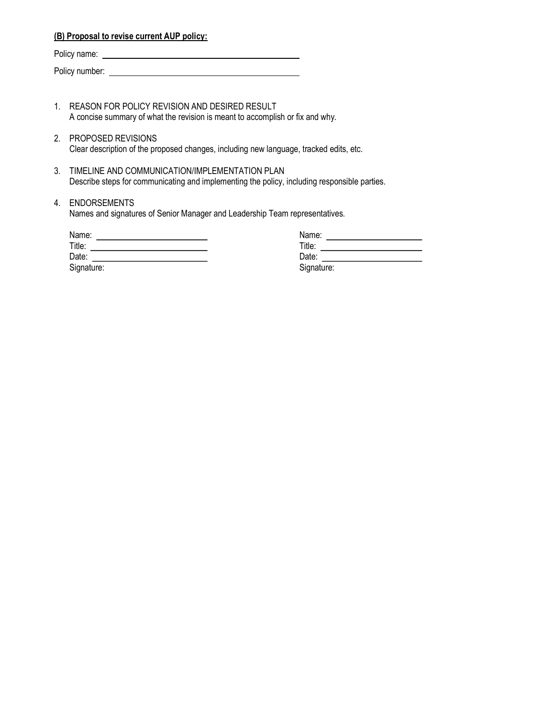## (B) Proposal to revise current AUP policy:

|  | Policy name: |  |
|--|--------------|--|
|  |              |  |

Policy number:

- 1. REASON FOR POLICY REVISION AND DESIRED RESULT A concise summary of what the revision is meant to accomplish or fix and why.
- 2. PROPOSED REVISIONS Clear description of the proposed changes, including new language, tracked edits, etc.
- 3. TIMELINE AND COMMUNICATION/IMPLEMENTATION PLAN Describe steps for communicating and implementing the policy, including responsible parties.
- 4. ENDORSEMENTS

Names and signatures of Senior Manager and Leadership Team representatives.

| Name:      | Name:      |
|------------|------------|
| Title:     | Title:     |
| Date:      | Date:      |
| Signature: | Signature: |